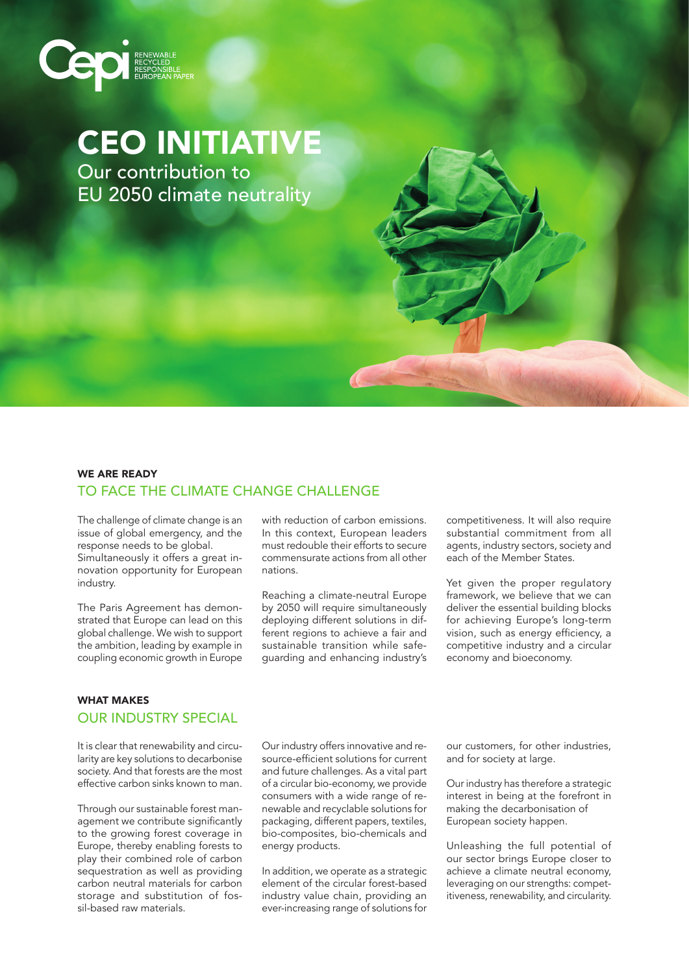# **COOR RECYCLED**

# CEO INITIATIVE

Our contribution to EU 2050 climate neutrality

## WE ARE READY TO FACE THE CLIMATE CHANGE CHALLENGE

The challenge of climate change is an issue of global emergency, and the response needs to be global. Simultaneously it offers a great innovation opportunity for European industry.

The Paris Agreement has demonstrated that Europe can lead on this global challenge. We wish to support the ambition, leading by example in coupling economic growth in Europe

with reduction of carbon emissions. In this context, European leaders must redouble their efforts to secure commensurate actions from all other nations.

Reaching a climate-neutral Europe by 2050 will require simultaneously deploying different solutions in different regions to achieve a fair and sustainable transition while safeguarding and enhancing industry's competitiveness. It will also require substantial commitment from all agents, industry sectors, society and each of the Member States.

Yet given the proper regulatory framework, we believe that we can deliver the essential building blocks for achieving Europe's long-term vision, such as energy efficiency, a competitive industry and a circular economy and bioeconomy.

#### WHAT MAKES OUR INDUSTRY SPECIAL

It is clear that renewability and circularity are key solutions to decarbonise society. And that forests are the most effective carbon sinks known to man.

Through our sustainable forest management we contribute significantly to the growing forest coverage in Europe, thereby enabling forests to play their combined role of carbon sequestration as well as providing carbon neutral materials for carbon storage and substitution of fossil-based raw materials.

Our industry offers innovative and resource-efficient solutions for current and future challenges. As a vital part of a circular bio-economy, we provide consumers with a wide range of renewable and recyclable solutions for packaging, different papers, textiles, bio-composites, bio-chemicals and energy products.

In addition, we operate as a strategic element of the circular forest-based industry value chain, providing an ever-increasing range of solutions for

our customers, for other industries, and for society at large.

Our industry has therefore a strategic interest in being at the forefront in making the decarbonisation of European society happen.

Unleashing the full potential of our sector brings Europe closer to achieve a climate neutral economy, leveraging on our strengths: competitiveness, renewability, and circularity.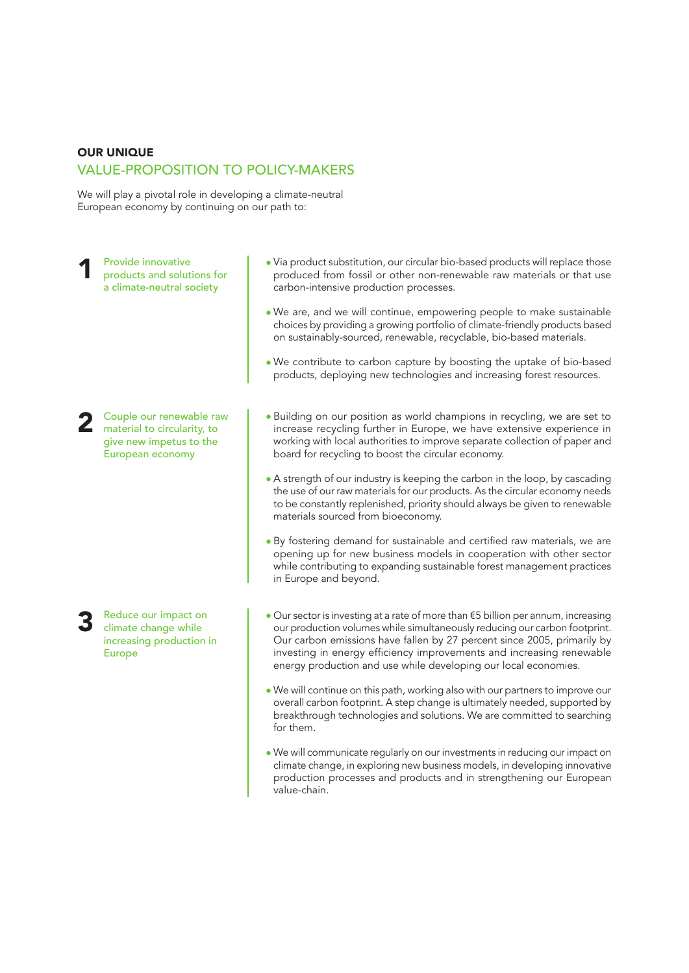#### OUR UNIQUE VALUE-PROPOSITION TO POLICY-MAKERS

We will play a pivotal role in developing a climate-neutral European economy by continuing on our path to:

Provide innovative products and solutions for a climate-neutral society 1

- Via product substitution, our circular bio-based products will replace those produced from fossil or other non-renewable raw materials or that use carbon-intensive production processes.
- We are, and we will continue, empowering people to make sustainable choices by providing a growing portfolio of climate-friendly products based on sustainably-sourced, renewable, recyclable, bio-based materials.
- We contribute to carbon capture by boosting the uptake of bio-based products, deploying new technologies and increasing forest resources.

Couple our renewable raw material to circularity, to give new impetus to the European economy

2

Reduce our impact on climate change while increasing production in 3

Europe

- Building on our position as world champions in recycling, we are set to increase recycling further in Europe, we have extensive experience in working with local authorities to improve separate collection of paper and board for recycling to boost the circular economy.
- A strength of our industry is keeping the carbon in the loop, by cascading the use of our raw materials for our products. As the circular economy needs to be constantly replenished, priority should always be given to renewable materials sourced from bioeconomy.
- By fostering demand for sustainable and certified raw materials, we are opening up for new business models in cooperation with other sector while contributing to expanding sustainable forest management practices in Europe and beyond.
- Our sector is investing at a rate of more than €5 billion per annum, increasing our production volumes while simultaneously reducing our carbon footprint. Our carbon emissions have fallen by 27 percent since 2005, primarily by investing in energy efficiency improvements and increasing renewable energy production and use while developing our local economies.
- We will continue on this path, working also with our partners to improve our overall carbon footprint. A step change is ultimately needed, supported by breakthrough technologies and solutions. We are committed to searching for them.
- We will communicate regularly on our investments in reducing our impact on climate change, in exploring new business models, in developing innovative production processes and products and in strengthening our European value-chain.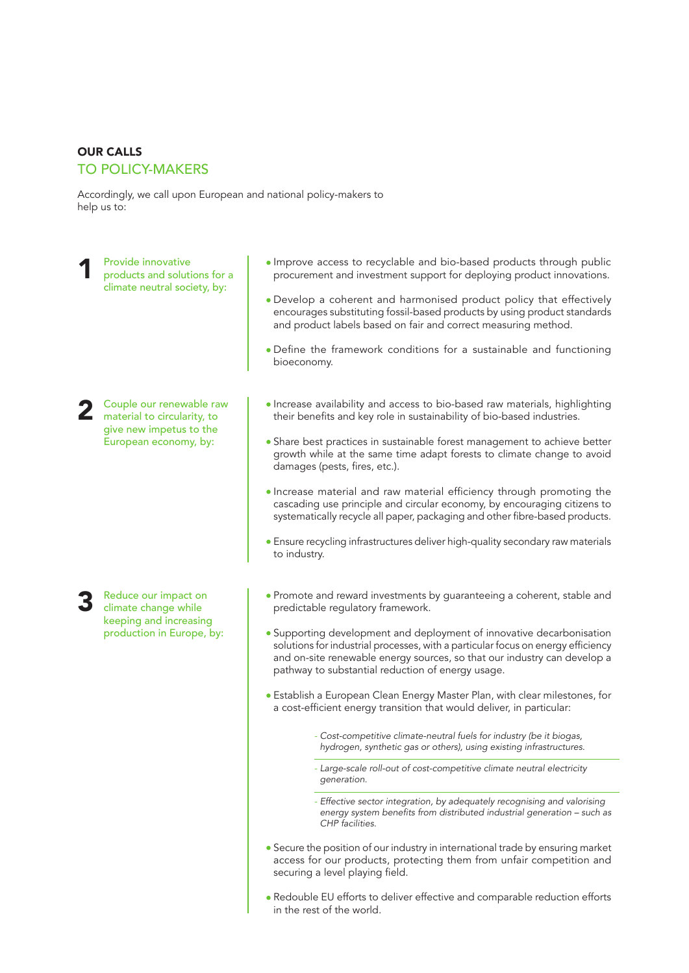#### OUR CALLS

#### TO POLICY-MAKERS

Accordingly, we call upon European and national policy-makers to help us to:

Provide innovative products and solutions for a climate neutral society, by: 1

Couple our renewable raw material to circularity, to give new impetus to the European economy, by: 2

Reduce our impact on climate change while keeping and increasing production in Europe, by: 3

- Improve access to recyclable and bio-based products through public procurement and investment support for deploying product innovations.
- Develop a coherent and harmonised product policy that effectively encourages substituting fossil-based products by using product standards and product labels based on fair and correct measuring method.
- Define the framework conditions for a sustainable and functioning bioeconomy.
- Increase availability and access to bio-based raw materials, highlighting their benefits and key role in sustainability of bio-based industries.
- Share best practices in sustainable forest management to achieve better growth while at the same time adapt forests to climate change to avoid damages (pests, fires, etc.).
- Increase material and raw material efficiency through promoting the cascading use principle and circular economy, by encouraging citizens to systematically recycle all paper, packaging and other fibre-based products.
- Ensure recycling infrastructures deliver high-quality secondary raw materials to industry.
- Promote and reward investments by guaranteeing a coherent, stable and predictable regulatory framework.
- Supporting development and deployment of innovative decarbonisation solutions for industrial processes, with a particular focus on energy efficiency and on-site renewable energy sources, so that our industry can develop a pathway to substantial reduction of energy usage.
- Establish a European Clean Energy Master Plan, with clear milestones, for a cost-efficient energy transition that would deliver, in particular:
	- *- Cost-competitive climate-neutral fuels for industry (be it biogas, hydrogen, synthetic gas or others), using existing infrastructures.*
	- *- Large-scale roll-out of cost-competitive climate neutral electricity generation.*
	- *- Effective sector integration, by adequately recognising and valorising*  energy system benefits from distributed industrial generation – such as *CHP facilities.*
- Secure the position of our industry in international trade by ensuring market access for our products, protecting them from unfair competition and securing a level playing field.
- Redouble EU efforts to deliver effective and comparable reduction efforts in the rest of the world.